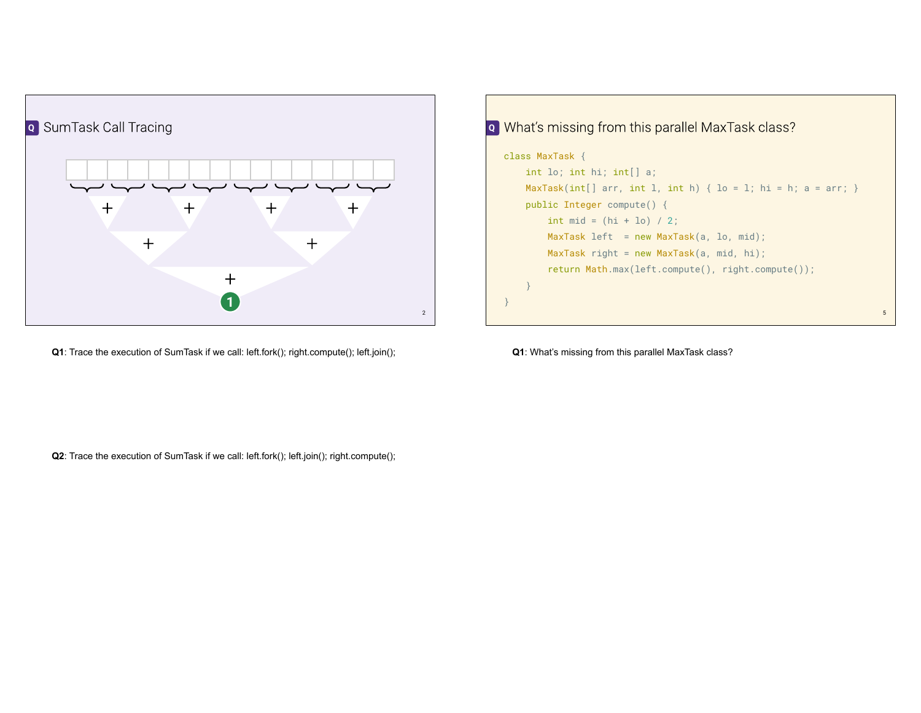

**Q1**: Trace the execution of SumTask if we call: left.fork(); right.compute(); left.join();



**Q1**: What's missing from this parallel MaxTask class?

**Q2**: Trace the execution of SumTask if we call: left.fork(); left.join(); right.compute();